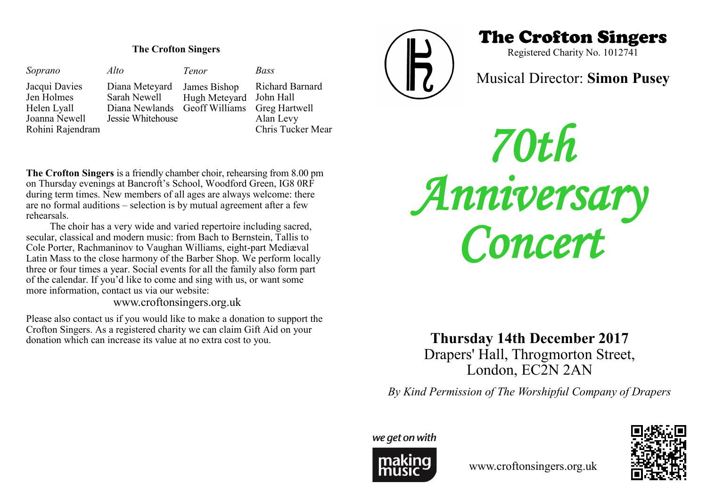### **The Crofton Singers**

| Soprano                     | Alto                                        | Tenor                                   | Bass              |
|-----------------------------|---------------------------------------------|-----------------------------------------|-------------------|
| Jacqui Davies<br>Jen Holmes | Diana Meteyard<br>Sarah Newell              | James Bishop<br>Hugh Meteyard John Hall | Richard Barnard   |
| Helen Lyall                 | Diana Newlands Geoff Williams Greg Hartwell |                                         |                   |
| Joanna Newell               | Jessie Whitehouse                           |                                         | Alan Levy         |
| Rohini Rajendram            |                                             |                                         | Chris Tucker Mear |

**The Crofton Singers** is a friendly chamber choir, rehearsing from 8.00 pm on Thursday evenings at Bancroft's School, Woodford Green, IG8 0RF during term times. New members of all ages are always welcome: there are no formal auditions – selection is by mutual agreement after a few rehearsals.

The choir has a very wide and varied repertoire including sacred, secular, classical and modern music: from Bach to Bernstein, Tallis to Cole Porter, Rachmaninov to Vaughan Williams, eight-part Mediæval Latin Mass to the close harmony of the Barber Shop. We perform locally three or four times a year. Social events for all the family also form part of the calendar. If you'd like to come and sing with us, or want some more information, contact us via our website:

www.croftonsingers.org.uk

Please also contact us if you would like to make a donation to support the Crofton Singers. As a registered charity we can claim Gift Aid on your donation which can increase its value at no extra cost to you.



# The Crofton Singers

Registered Charity No. 1012741

## Musical Director: **Simon Pusey**

*70th Anniversary Concert* 

**Thursday 14th December 2017** Drapers' Hall, Throgmorton Street,

London, EC2N 2AN

*By Kind Permission of The Worshipful Company of Drapers*

we get on with



www.croftonsingers.org.uk